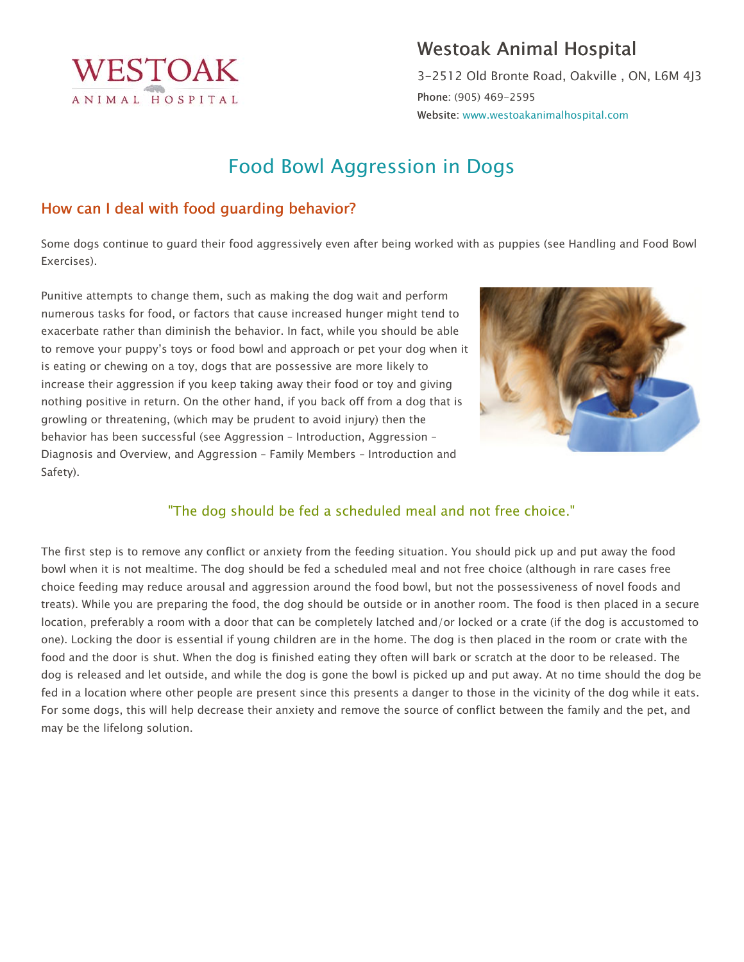

## Westoak Animal Hospital

3-2512 Old Bronte Road, Oakville , ON, L6M 4J3 Phone: (905) 469-2595 Website: www.westoakanimalhospital.com

# Food Bowl Aggression in Dogs

#### How can I deal with food guarding behavior?

Some dogs continue to guard their food aggressively even after being worked with as puppies (see Handling and Food Bowl Exercises).

Punitive attempts to change them, such as making the dog wait and perform numerous tasks for food, or factors that cause increased hunger might tend to exacerbate rather than diminish the behavior. In fact, while you should be able to remove your puppy's toys or food bowl and approach or pet your dog when it is eating or chewing on a toy, dogs that are possessive are more likely to increase their aggression if you keep taking away their food or toy and giving nothing positive in return. On the other hand, if you back off from a dog that is growling or threatening, (which may be prudent to avoid injury) then the behavior has been successful (see Aggression – Introduction, Aggression – Diagnosis and Overview, and Aggression – Family Members – Introduction and Safety).



#### "The dog should be fed a scheduled meal and not free choice."

The first step is to remove any conflict or anxiety from the feeding situation. You should pick up and put away the food bowl when it is not mealtime. The dog should be fed a scheduled meal and not free choice (although in rare cases free choice feeding may reduce arousal and aggression around the food bowl, but not the possessiveness of novel foods and treats). While you are preparing the food, the dog should be outside or in another room. The food is then placed in a secure location, preferably a room with a door that can be completely latched and/or locked or a crate (if the dog is accustomed to one). Locking the door is essential if young children are in the home. The dog is then placed in the room or crate with the food and the door is shut. When the dog is finished eating they often will bark or scratch at the door to be released. The dog is released and let outside, and while the dog is gone the bowl is picked up and put away. At no time should the dog be fed in a location where other people are present since this presents a danger to those in the vicinity of the dog while it eats. For some dogs, this will help decrease their anxiety and remove the source of conflict between the family and the pet, and may be the lifelong solution.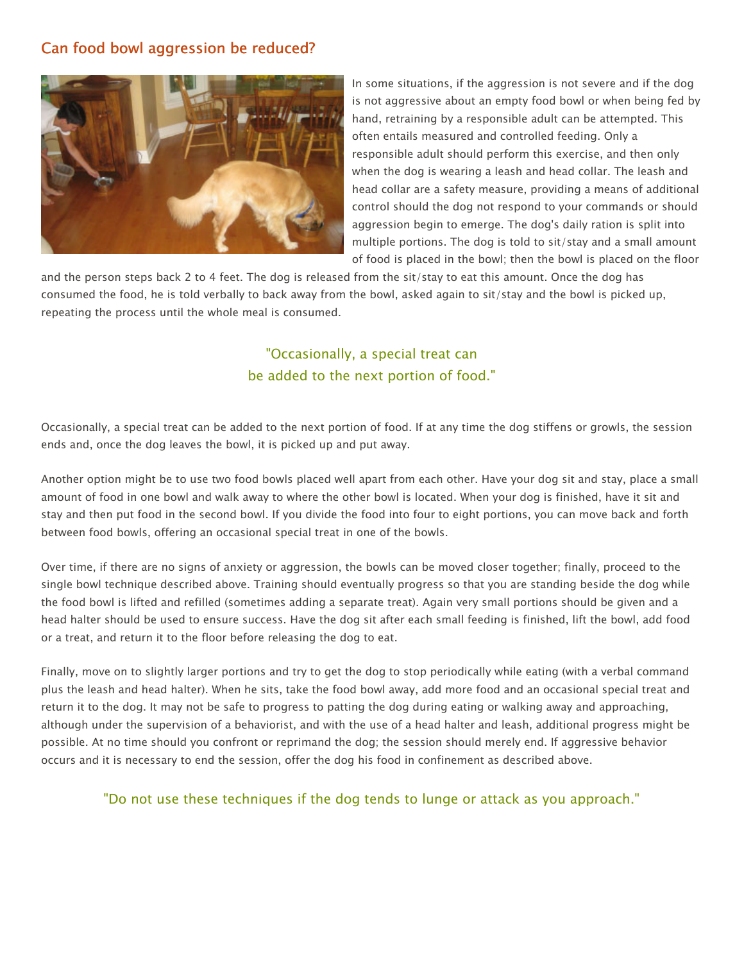#### Can food bowl aggression be reduced?



In some situations, if the aggression is not severe and if the dog is not aggressive about an empty food bowl or when being fed by hand, retraining by a responsible adult can be attempted. This often entails measured and controlled feeding. Only a responsible adult should perform this exercise, and then only when the dog is wearing a leash and head collar. The leash and head collar are a safety measure, providing a means of additional control should the dog not respond to your commands or should aggression begin to emerge. The dog's daily ration is split into multiple portions. The dog is told to sit/stay and a small amount of food is placed in the bowl; then the bowl is placed on the floor

and the person steps back 2 to 4 feet. The dog is released from the sit/stay to eat this amount. Once the dog has consumed the food, he is told verbally to back away from the bowl, asked again to sit/stay and the bowl is picked up, repeating the process until the whole meal is consumed.

### "Occasionally, a special treat can be added to the next portion of food."

Occasionally, a special treat can be added to the next portion of food. If at any time the dog stiffens or growls, the session ends and, once the dog leaves the bowl, it is picked up and put away.

Another option might be to use two food bowls placed well apart from each other. Have your dog sit and stay, place a small amount of food in one bowl and walk away to where the other bowl is located. When your dog is finished, have it sit and stay and then put food in the second bowl. If you divide the food into four to eight portions, you can move back and forth between food bowls, offering an occasional special treat in one of the bowls.

Over time, if there are no signs of anxiety or aggression, the bowls can be moved closer together; finally, proceed to the single bowl technique described above. Training should eventually progress so that you are standing beside the dog while the food bowl is lifted and refilled (sometimes adding a separate treat). Again very small portions should be given and a head halter should be used to ensure success. Have the dog sit after each small feeding is finished, lift the bowl, add food or a treat, and return it to the floor before releasing the dog to eat.

Finally, move on to slightly larger portions and try to get the dog to stop periodically while eating (with a verbal command plus the leash and head halter). When he sits, take the food bowl away, add more food and an occasional special treat and return it to the dog. It may not be safe to progress to patting the dog during eating or walking away and approaching, although under the supervision of a behaviorist, and with the use of a head halter and leash, additional progress might be possible. At no time should you confront or reprimand the dog; the session should merely end. If aggressive behavior occurs and it is necessary to end the session, offer the dog his food in confinement as described above.

"Do not use these techniques if the dog tends to lunge or attack as you approach."